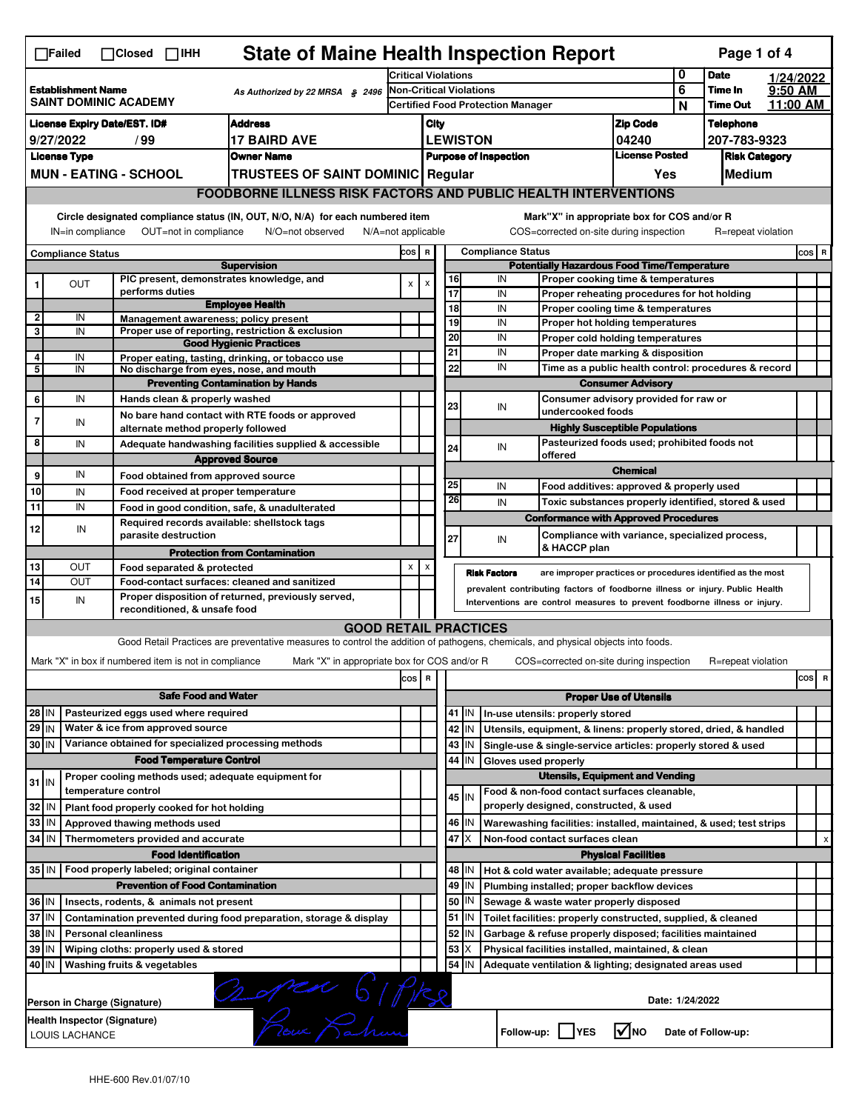|                                                                                                                                                                                                                          | <b>State of Maine Health Inspection Report</b><br>Page 1 of 4<br>$\Box$ Failed<br>$\Box$ Closed $\Box$ IHH  |                              |                                                                                                                                                                                    |                                                                                                                                   |                                                                                         |                |                                                           |                                                                                               |                                                                                    |                                                      |                  |                    |  |           |  |
|--------------------------------------------------------------------------------------------------------------------------------------------------------------------------------------------------------------------------|-------------------------------------------------------------------------------------------------------------|------------------------------|------------------------------------------------------------------------------------------------------------------------------------------------------------------------------------|-----------------------------------------------------------------------------------------------------------------------------------|-----------------------------------------------------------------------------------------|----------------|-----------------------------------------------------------|-----------------------------------------------------------------------------------------------|------------------------------------------------------------------------------------|------------------------------------------------------|------------------|--------------------|--|-----------|--|
|                                                                                                                                                                                                                          |                                                                                                             |                              |                                                                                                                                                                                    |                                                                                                                                   | <b>Critical Violations</b>                                                              |                |                                                           |                                                                                               |                                                                                    |                                                      | 0                | <b>Date</b>        |  | 1/24/2022 |  |
| <b>Establishment Name</b><br>As Authorized by 22 MRSA § 2496<br>SAINT DOMINIC ACADEMY                                                                                                                                    |                                                                                                             |                              |                                                                                                                                                                                    | <b>Non-Critical Violations</b>                                                                                                    |                                                                                         |                |                                                           |                                                                                               | 6<br>N                                                                             | Time In<br><b>Time Out</b>                           | $9:50$ AM        | 11:00 AM           |  |           |  |
| <b>License Expiry Date/EST. ID#</b><br><b>Address</b>                                                                                                                                                                    |                                                                                                             |                              |                                                                                                                                                                                    |                                                                                                                                   | <b>Certified Food Protection Manager</b>                                                |                |                                                           |                                                                                               |                                                                                    |                                                      | <b>Telephone</b> |                    |  |           |  |
| <b>17 BAIRD AVE</b><br>9/27/2022<br>/ 99                                                                                                                                                                                 |                                                                                                             |                              |                                                                                                                                                                                    | <b>Zip Code</b><br>City<br><b>LEWISTON</b>                                                                                        |                                                                                         |                |                                                           | 04240                                                                                         |                                                                                    | 207-783-9323                                         |                  |                    |  |           |  |
| <b>License Type</b><br><b>Owner Name</b>                                                                                                                                                                                 |                                                                                                             |                              |                                                                                                                                                                                    |                                                                                                                                   | <b>License Posted</b><br><b>Purpose of Inspection</b>                                   |                |                                                           |                                                                                               |                                                                                    | <b>Risk Category</b>                                 |                  |                    |  |           |  |
|                                                                                                                                                                                                                          |                                                                                                             | <b>MUN - EATING - SCHOOL</b> |                                                                                                                                                                                    | <b>TRUSTEES OF SAINT DOMINIC Regular</b>                                                                                          |                                                                                         |                |                                                           |                                                                                               |                                                                                    | Yes                                                  |                  | Medium             |  |           |  |
|                                                                                                                                                                                                                          |                                                                                                             |                              |                                                                                                                                                                                    | <b>FOODBORNE ILLNESS RISK FACTORS AND PUBLIC HEALTH INTERVENTIONS</b>                                                             |                                                                                         |                |                                                           |                                                                                               |                                                                                    |                                                      |                  |                    |  |           |  |
| Circle designated compliance status (IN, OUT, N/O, N/A) for each numbered item<br>Mark"X" in appropriate box for COS and/or R<br>COS=corrected on-site during inspection<br>$N/A = not$ applicable<br>R=repeat violation |                                                                                                             |                              |                                                                                                                                                                                    |                                                                                                                                   |                                                                                         |                |                                                           |                                                                                               |                                                                                    |                                                      |                  |                    |  |           |  |
|                                                                                                                                                                                                                          | OUT=not in compliance<br>IN=in compliance<br>N/O=not observed                                               |                              |                                                                                                                                                                                    |                                                                                                                                   |                                                                                         |                |                                                           |                                                                                               |                                                                                    |                                                      |                  |                    |  |           |  |
| Compliance Status<br><b>Supervision</b>                                                                                                                                                                                  |                                                                                                             |                              |                                                                                                                                                                                    |                                                                                                                                   | <b>Compliance Status</b><br>COS R<br><b>Potentially Hazardous Food Time/Temperature</b> |                |                                                           |                                                                                               |                                                                                    |                                                      |                  | COS R              |  |           |  |
| 1                                                                                                                                                                                                                        | <b>OUT</b>                                                                                                  |                              |                                                                                                                                                                                    | PIC present, demonstrates knowledge, and                                                                                          | $\pmb{\mathsf{x}}$                                                                      | $\pmb{\times}$ | 16                                                        |                                                                                               | IN<br>Proper cooking time & temperatures                                           |                                                      |                  |                    |  |           |  |
|                                                                                                                                                                                                                          |                                                                                                             |                              | performs duties                                                                                                                                                                    | <b>Employee Health</b>                                                                                                            |                                                                                         |                | 17                                                        |                                                                                               | IN<br>Proper reheating procedures for hot holding                                  |                                                      |                  |                    |  |           |  |
| $\mathbf 2$                                                                                                                                                                                                              | IN                                                                                                          |                              |                                                                                                                                                                                    | Management awareness: policy present                                                                                              |                                                                                         |                |                                                           | 18<br>IN<br>Proper cooling time & temperatures<br>19<br>IN<br>Proper hot holding temperatures |                                                                                    |                                                      |                  |                    |  |           |  |
| 3                                                                                                                                                                                                                        | IN                                                                                                          |                              |                                                                                                                                                                                    | Proper use of reporting, restriction & exclusion                                                                                  |                                                                                         |                | 20                                                        |                                                                                               | IN<br>Proper cold holding temperatures                                             |                                                      |                  |                    |  |           |  |
| 4                                                                                                                                                                                                                        | IN                                                                                                          |                              |                                                                                                                                                                                    | <b>Good Hygienic Practices</b>                                                                                                    |                                                                                         |                | 21                                                        |                                                                                               | IN                                                                                 | Proper date marking & disposition                    |                  |                    |  |           |  |
| 5                                                                                                                                                                                                                        | IN                                                                                                          |                              |                                                                                                                                                                                    | Proper eating, tasting, drinking, or tobacco use<br>No discharge from eyes, nose, and mouth                                       |                                                                                         |                | 22                                                        |                                                                                               | IN                                                                                 | Time as a public health control: procedures & record |                  |                    |  |           |  |
|                                                                                                                                                                                                                          |                                                                                                             |                              |                                                                                                                                                                                    | <b>Preventing Contamination by Hands</b>                                                                                          |                                                                                         |                |                                                           |                                                                                               |                                                                                    | <b>Consumer Advisory</b>                             |                  |                    |  |           |  |
| 6                                                                                                                                                                                                                        | IN                                                                                                          |                              | Hands clean & properly washed                                                                                                                                                      |                                                                                                                                   |                                                                                         |                | 23                                                        |                                                                                               | IN                                                                                 | Consumer advisory provided for raw or                |                  |                    |  |           |  |
| 7                                                                                                                                                                                                                        | IN                                                                                                          |                              |                                                                                                                                                                                    | No bare hand contact with RTE foods or approved                                                                                   |                                                                                         |                |                                                           |                                                                                               | undercooked foods                                                                  |                                                      |                  |                    |  |           |  |
| 8                                                                                                                                                                                                                        |                                                                                                             |                              | alternate method properly followed                                                                                                                                                 |                                                                                                                                   |                                                                                         |                |                                                           |                                                                                               |                                                                                    | <b>Highly Susceptible Populations</b>                |                  |                    |  |           |  |
|                                                                                                                                                                                                                          | IN                                                                                                          |                              |                                                                                                                                                                                    | Adequate handwashing facilities supplied & accessible<br><b>Approved Source</b>                                                   |                                                                                         |                | 24                                                        |                                                                                               | IN<br>offered                                                                      | Pasteurized foods used; prohibited foods not         |                  |                    |  |           |  |
| 9                                                                                                                                                                                                                        | IN                                                                                                          |                              |                                                                                                                                                                                    | Food obtained from approved source                                                                                                |                                                                                         |                |                                                           |                                                                                               | <b>Chemical</b>                                                                    |                                                      |                  |                    |  |           |  |
| 10                                                                                                                                                                                                                       | IN                                                                                                          |                              |                                                                                                                                                                                    | Food received at proper temperature                                                                                               |                                                                                         |                | 25                                                        |                                                                                               | IN<br>Food additives: approved & properly used                                     |                                                      |                  |                    |  |           |  |
| 11                                                                                                                                                                                                                       | IN                                                                                                          |                              |                                                                                                                                                                                    | Food in good condition, safe, & unadulterated                                                                                     |                                                                                         |                | 26                                                        |                                                                                               | IN<br>Toxic substances properly identified, stored & used                          |                                                      |                  |                    |  |           |  |
|                                                                                                                                                                                                                          |                                                                                                             |                              |                                                                                                                                                                                    | Required records available: shellstock tags                                                                                       |                                                                                         |                |                                                           |                                                                                               | <b>Conformance with Approved Procedures</b>                                        |                                                      |                  |                    |  |           |  |
| 12                                                                                                                                                                                                                       | IN                                                                                                          |                              | parasite destruction                                                                                                                                                               |                                                                                                                                   |                                                                                         |                | 27                                                        |                                                                                               | Compliance with variance, specialized process,<br>IN                               |                                                      |                  |                    |  |           |  |
|                                                                                                                                                                                                                          |                                                                                                             |                              |                                                                                                                                                                                    | <b>Protection from Contamination</b>                                                                                              |                                                                                         |                |                                                           |                                                                                               | & HACCP plan                                                                       |                                                      |                  |                    |  |           |  |
| 13                                                                                                                                                                                                                       | <b>OUT</b>                                                                                                  |                              | Food separated & protected                                                                                                                                                         |                                                                                                                                   | X                                                                                       | x              |                                                           |                                                                                               | <b>Risk Factors</b><br>are improper practices or procedures identified as the most |                                                      |                  |                    |  |           |  |
| 14                                                                                                                                                                                                                       | <b>OUT</b>                                                                                                  |                              | Food-contact surfaces: cleaned and sanitized<br>prevalent contributing factors of foodborne illness or injury. Public Health<br>Proper disposition of returned, previously served, |                                                                                                                                   |                                                                                         |                |                                                           |                                                                                               |                                                                                    |                                                      |                  |                    |  |           |  |
| 15                                                                                                                                                                                                                       | IN                                                                                                          |                              | reconditioned, & unsafe food                                                                                                                                                       |                                                                                                                                   |                                                                                         |                |                                                           |                                                                                               | Interventions are control measures to prevent foodborne illness or injury.         |                                                      |                  |                    |  |           |  |
|                                                                                                                                                                                                                          |                                                                                                             |                              |                                                                                                                                                                                    | <b>GOOD RETAIL PRACTICES</b>                                                                                                      |                                                                                         |                |                                                           |                                                                                               |                                                                                    |                                                      |                  |                    |  |           |  |
|                                                                                                                                                                                                                          |                                                                                                             |                              |                                                                                                                                                                                    | Good Retail Practices are preventative measures to control the addition of pathogens, chemicals, and physical objects into foods. |                                                                                         |                |                                                           |                                                                                               |                                                                                    |                                                      |                  |                    |  |           |  |
|                                                                                                                                                                                                                          |                                                                                                             |                              | Mark "X" in box if numbered item is not in compliance                                                                                                                              | Mark "X" in appropriate box for COS and/or R                                                                                      |                                                                                         |                |                                                           |                                                                                               | COS=corrected on-site during inspection                                            |                                                      |                  | R=repeat violation |  |           |  |
|                                                                                                                                                                                                                          |                                                                                                             |                              |                                                                                                                                                                                    |                                                                                                                                   |                                                                                         | cos R          |                                                           |                                                                                               |                                                                                    |                                                      |                  |                    |  | cos<br>R  |  |
|                                                                                                                                                                                                                          |                                                                                                             |                              | <b>Safe Food and Water</b>                                                                                                                                                         |                                                                                                                                   |                                                                                         |                |                                                           | <b>Proper Use of Utensils</b>                                                                 |                                                                                    |                                                      |                  |                    |  |           |  |
| 28 IN                                                                                                                                                                                                                    |                                                                                                             |                              | Pasteurized eggs used where required                                                                                                                                               |                                                                                                                                   |                                                                                         |                |                                                           | 41 J IN                                                                                       | In-use utensils: properly stored                                                   |                                                      |                  |                    |  |           |  |
| 29 IN                                                                                                                                                                                                                    |                                                                                                             |                              | Water & ice from approved source                                                                                                                                                   |                                                                                                                                   |                                                                                         |                |                                                           | 42 IN                                                                                         | Utensils, equipment, & linens: properly stored, dried, & handled                   |                                                      |                  |                    |  |           |  |
| 30 IN                                                                                                                                                                                                                    |                                                                                                             |                              |                                                                                                                                                                                    | Variance obtained for specialized processing methods                                                                              |                                                                                         |                |                                                           | 43 IN                                                                                         | Single-use & single-service articles: properly stored & used                       |                                                      |                  |                    |  |           |  |
|                                                                                                                                                                                                                          |                                                                                                             |                              | <b>Food Temperature Control</b>                                                                                                                                                    |                                                                                                                                   |                                                                                         |                | 44                                                        | IN                                                                                            | Gloves used properly                                                               |                                                      |                  |                    |  |           |  |
| $31$ IN                                                                                                                                                                                                                  |                                                                                                             |                              |                                                                                                                                                                                    | Proper cooling methods used; adequate equipment for                                                                               |                                                                                         |                |                                                           |                                                                                               | <b>Utensils, Equipment and Vending</b>                                             |                                                      |                  |                    |  |           |  |
|                                                                                                                                                                                                                          |                                                                                                             | temperature control          |                                                                                                                                                                                    |                                                                                                                                   |                                                                                         |                |                                                           | 45 IN                                                                                         | Food & non-food contact surfaces cleanable,                                        |                                                      |                  |                    |  |           |  |
| 32 IN                                                                                                                                                                                                                    |                                                                                                             |                              | Plant food properly cooked for hot holding                                                                                                                                         |                                                                                                                                   |                                                                                         |                |                                                           |                                                                                               | properly designed, constructed, & used                                             |                                                      |                  |                    |  |           |  |
| 33 IN<br>34 IN                                                                                                                                                                                                           |                                                                                                             |                              | Approved thawing methods used                                                                                                                                                      |                                                                                                                                   |                                                                                         |                |                                                           | 46 IN<br>47 I X                                                                               | Warewashing facilities: installed, maintained, & used; test strips                 |                                                      |                  |                    |  |           |  |
|                                                                                                                                                                                                                          |                                                                                                             |                              | Thermometers provided and accurate<br><b>Food Identification</b>                                                                                                                   |                                                                                                                                   |                                                                                         |                |                                                           |                                                                                               | Non-food contact surfaces clean                                                    | <b>Physical Facilities</b>                           |                  |                    |  | X         |  |
|                                                                                                                                                                                                                          |                                                                                                             |                              |                                                                                                                                                                                    |                                                                                                                                   |                                                                                         |                |                                                           | 48   IN                                                                                       | Hot & cold water available; adequate pressure                                      |                                                      |                  |                    |  |           |  |
| 35 IN   Food properly labeled; original container<br><b>Prevention of Food Contamination</b>                                                                                                                             |                                                                                                             |                              |                                                                                                                                                                                    |                                                                                                                                   |                                                                                         | 49             | IN                                                        | Plumbing installed; proper backflow devices                                                   |                                                                                    |                                                      |                  |                    |  |           |  |
| 36 IN<br>Insects, rodents, & animals not present                                                                                                                                                                         |                                                                                                             |                              |                                                                                                                                                                                    |                                                                                                                                   | 50                                                                                      | IN             | Sewage & waste water properly disposed                    |                                                                                               |                                                                                    |                                                      |                  |                    |  |           |  |
| 37 IN<br>Contamination prevented during food preparation, storage & display                                                                                                                                              |                                                                                                             |                              |                                                                                                                                                                                    |                                                                                                                                   |                                                                                         |                | 51                                                        | IN.                                                                                           | Toilet facilities: properly constructed, supplied, & cleaned                       |                                                      |                  |                    |  |           |  |
| 38 IN<br><b>Personal cleanliness</b>                                                                                                                                                                                     |                                                                                                             |                              |                                                                                                                                                                                    |                                                                                                                                   | 52                                                                                      | IN             | Garbage & refuse properly disposed; facilities maintained |                                                                                               |                                                                                    |                                                      |                  |                    |  |           |  |
| 39 IN<br>Wiping cloths: properly used & stored                                                                                                                                                                           |                                                                                                             |                              |                                                                                                                                                                                    |                                                                                                                                   | 53                                                                                      | X              | Physical facilities installed, maintained, & clean        |                                                                                               |                                                                                    |                                                      |                  |                    |  |           |  |
| 40 IN                                                                                                                                                                                                                    |                                                                                                             |                              | Washing fruits & vegetables                                                                                                                                                        |                                                                                                                                   |                                                                                         |                | 54                                                        | IN                                                                                            | Adequate ventilation & lighting; designated areas used                             |                                                      |                  |                    |  |           |  |
|                                                                                                                                                                                                                          | noped 61 Pike<br>Date: 1/24/2022<br>Person in Charge (Signature)                                            |                              |                                                                                                                                                                                    |                                                                                                                                   |                                                                                         |                |                                                           |                                                                                               |                                                                                    |                                                      |                  |                    |  |           |  |
|                                                                                                                                                                                                                          | Health Inspector (Signature)<br>$\sqrt{ }$ NO<br>Follow-up:     YES<br>Date of Follow-up:<br>LOUIS LACHANCE |                              |                                                                                                                                                                                    |                                                                                                                                   |                                                                                         |                |                                                           |                                                                                               |                                                                                    |                                                      |                  |                    |  |           |  |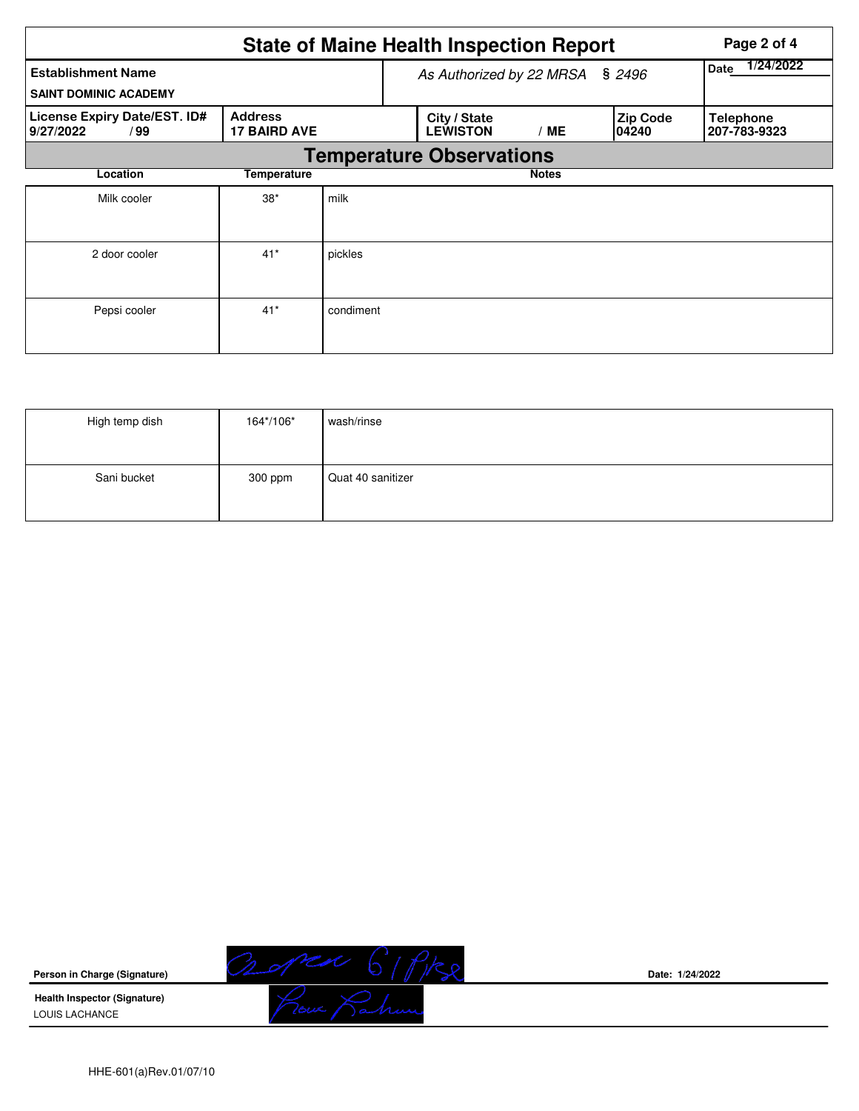|                                                           |                                       |                          | <b>State of Maine Health Inspection Report</b>                     | Page 2 of 4  |  |                                  |  |  |
|-----------------------------------------------------------|---------------------------------------|--------------------------|--------------------------------------------------------------------|--------------|--|----------------------------------|--|--|
| <b>Establishment Name</b><br><b>SAINT DOMINIC ACADEMY</b> |                                       | As Authorized by 22 MRSA | 1/24/2022<br>Date                                                  |              |  |                                  |  |  |
| License Expiry Date/EST. ID#<br>9/27/2022<br>/99          | <b>Address</b><br><b>17 BAIRD AVE</b> |                          | <b>Zip Code</b><br>City / State<br><b>LEWISTON</b><br>/ME<br>04240 |              |  | <b>Telephone</b><br>207-783-9323 |  |  |
|                                                           |                                       |                          | <b>Temperature Observations</b>                                    |              |  |                                  |  |  |
| Location<br><b>Temperature</b>                            |                                       |                          |                                                                    | <b>Notes</b> |  |                                  |  |  |
| Milk cooler                                               | $38*$                                 | milk                     |                                                                    |              |  |                                  |  |  |
| 2 door cooler                                             | $41*$                                 | pickles                  |                                                                    |              |  |                                  |  |  |
| Pepsi cooler                                              | $41*$                                 | condiment                |                                                                    |              |  |                                  |  |  |

| High temp dish | 164*/106* | wash/rinse        |
|----------------|-----------|-------------------|
| Sani bucket    | 300 ppm   | Quat 40 sanitizer |



**Health Inspector (Signature)**  LOUIS LACHANCE



**Date: 1/24/2022**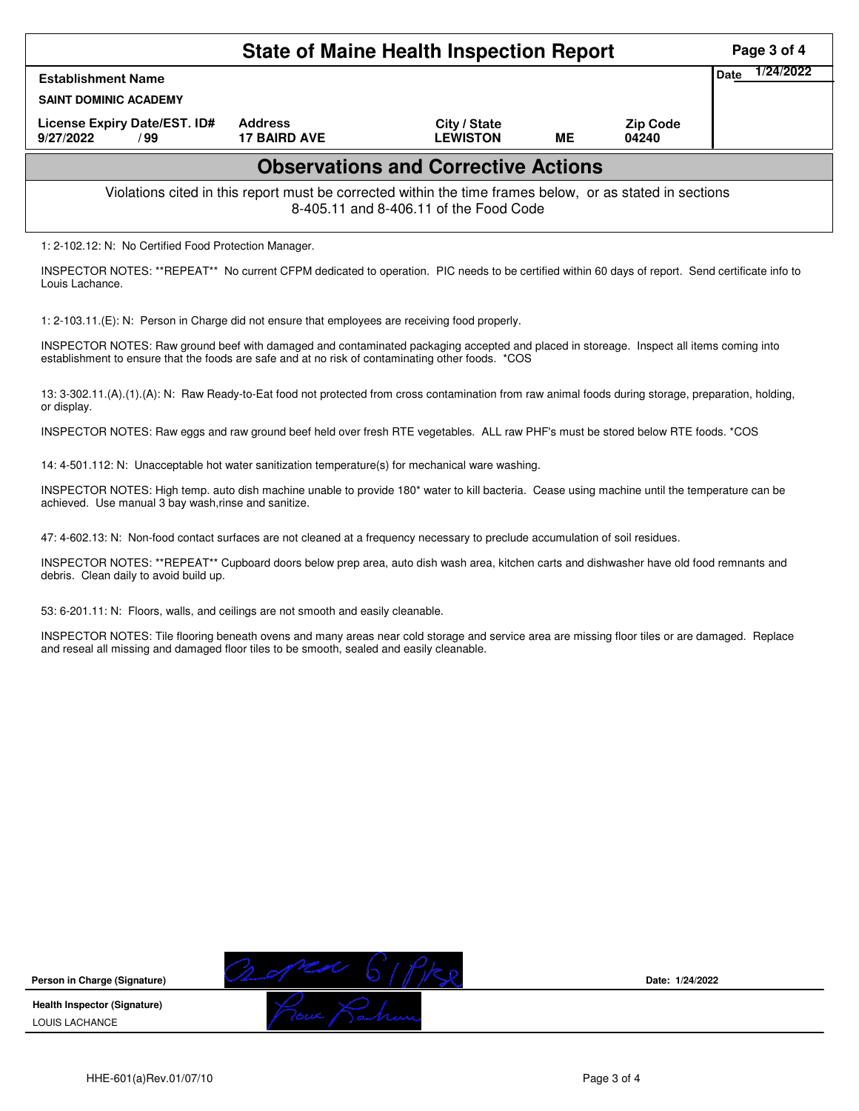|                                                                                                                                                                     |      | Page 3 of 4 |  |                          |  |  |  |  |  |  |
|---------------------------------------------------------------------------------------------------------------------------------------------------------------------|------|-------------|--|--------------------------|--|--|--|--|--|--|
| <b>Establishment Name</b>                                                                                                                                           | Date | 1/24/2022   |  |                          |  |  |  |  |  |  |
| <b>SAINT DOMINIC ACADEMY</b>                                                                                                                                        |      |             |  |                          |  |  |  |  |  |  |
| License Expiry Date/EST. ID#<br><b>Address</b><br>City / State<br>MЕ<br><b>17 BAIRD AVE</b><br><b>LEWISTON</b><br>9/27/2022<br>/ 99                                 |      |             |  | <b>Zip Code</b><br>04240 |  |  |  |  |  |  |
| <b>Observations and Corrective Actions</b>                                                                                                                          |      |             |  |                          |  |  |  |  |  |  |
| Violations cited in this report must be corrected within the time frames below, or as stated in sections<br>8-405.11 and 8-406.11 of the Food Code                  |      |             |  |                          |  |  |  |  |  |  |
| 1: 2-102.12: N: No Certified Food Protection Manager.                                                                                                               |      |             |  |                          |  |  |  |  |  |  |
| INSPECTOR NOTES: **REPEAT** No current CFPM dedicated to operation. PIC needs to be certified within 60 days of report. Send certificate info to<br>Louis Lachance. |      |             |  |                          |  |  |  |  |  |  |

1: 2-103.11.(E): N: Person in Charge did not ensure that employees are receiving food properly.

INSPECTOR NOTES: Raw ground beef with damaged and contaminated packaging accepted and placed in storeage. Inspect all items coming into establishment to ensure that the foods are safe and at no risk of contaminating other foods. \*COS

13: 3-302.11.(A).(1).(A): N: Raw Ready-to-Eat food not protected from cross contamination from raw animal foods during storage, preparation, holding, or display.

INSPECTOR NOTES: Raw eggs and raw ground beef held over fresh RTE vegetables. ALL raw PHF's must be stored below RTE foods. \*COS

14: 4-501.112: N: Unacceptable hot water sanitization temperature(s) for mechanical ware washing.

INSPECTOR NOTES: High temp. auto dish machine unable to provide 180\* water to kill bacteria. Cease using machine until the temperature can be achieved. Use manual 3 bay wash,rinse and sanitize.

47: 4-602.13: N: Non-food contact surfaces are not cleaned at a frequency necessary to preclude accumulation of soil residues.

INSPECTOR NOTES: \*\*REPEAT\*\* Cupboard doors below prep area, auto dish wash area, kitchen carts and dishwasher have old food remnants and debris. Clean daily to avoid build up.

53: 6-201.11: N: Floors, walls, and ceilings are not smooth and easily cleanable.

INSPECTOR NOTES: Tile flooring beneath ovens and many areas near cold storage and service area are missing floor tiles or are damaged. Replace and reseal all missing and damaged floor tiles to be smooth, sealed and easily cleanable.



**Date: 1/24/2022**